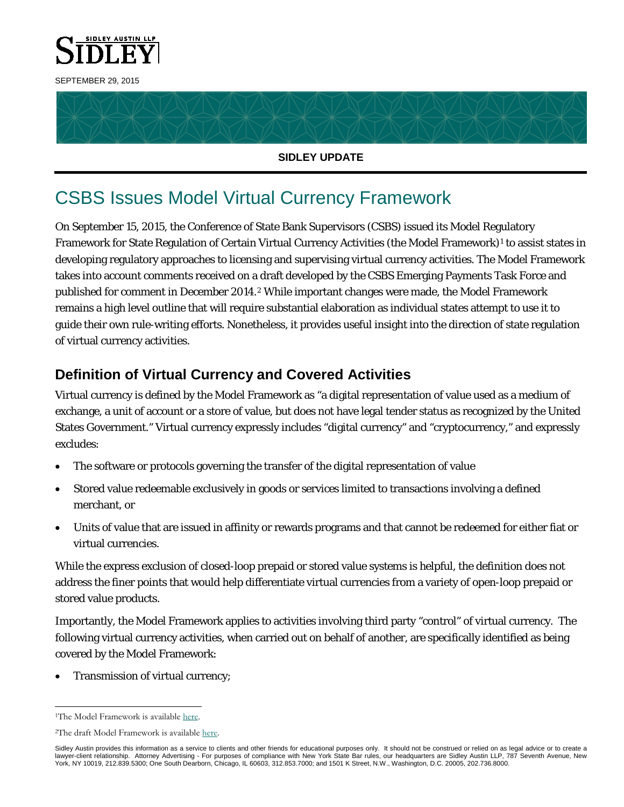



#### **SIDLEY UPDATE**

# CSBS Issues Model Virtual Currency Framework

On September 15, 2015, the Conference of State Bank Supervisors (CSBS) issued its Model Regulatory Framework for State Regulation of Certain Virtual Currency Activities (the Model Framework)[1](#page-0-0) to assist states in developing regulatory approaches to licensing and supervising virtual currency activities. The Model Framework takes into account comments received on a draft developed by the CSBS Emerging Payments Task Force and published for comment in December 2014.[2](#page-0-1) While important changes were made, the Model Framework remains a high level outline that will require substantial elaboration as individual states attempt to use it to guide their own rule-writing efforts. Nonetheless, it provides useful insight into the direction of state regulation of virtual currency activities.

## **Definition of Virtual Currency and Covered Activities**

Virtual currency is defined by the Model Framework as "a digital representation of value used as a medium of exchange, a unit of account or a store of value, but does not have legal tender status as recognized by the United States Government." Virtual currency expressly includes "digital currency" and "cryptocurrency," and expressly excludes:

- The software or protocols governing the transfer of the digital representation of value
- Stored value redeemable exclusively in goods or services limited to transactions involving a defined merchant, or
- Units of value that are issued in affinity or rewards programs and that cannot be redeemed for either fiat or virtual currencies.

While the express exclusion of closed-loop prepaid or stored value systems is helpful, the definition does not address the finer points that would help differentiate virtual currencies from a variety of open-loop prepaid or stored value products.

Importantly, the Model Framework applies to activities involving third party "control" of virtual currency. The following virtual currency activities, when carried out on behalf of another, are specifically identified as being covered by the Model Framework:

• Transmission of virtual currency;

<span id="page-0-1"></span><span id="page-0-0"></span><sup>&</sup>lt;sup>1</sup>The Model Framework is availabl[e here.](https://www.csbs.org/regulatory/ep/Documents/CSBS-Model-Regulatory-Framework(September%2015%202015).pdf)

<sup>2</sup>The draft Model Framework is availabl[e here.](https://www.csbs.org/regulatory/ep/Documents/CSBS%20Draft%20Model%20Regulatory%20Framework%20for%20Virtual%20Currency%20Proposal%20--%20Dec.%2016%202014.pdf)

Sidley Austin provides this information as a service to clients and other friends for educational purposes only. It should not be construed or relied on as legal advice or to create a lawyer-client relationship. Attorney Advertising - For purposes of compliance with New York State Bar rules, our headquarters are Sidley Austin LLP, 787 Seventh Avenue, New York, NY 10019, 212.839.5300; One South Dearborn, Chicago, IL 60603, 312.853.7000; and 1501 K Street, N.W., Washington, D.C. 20005, 202.736.8000.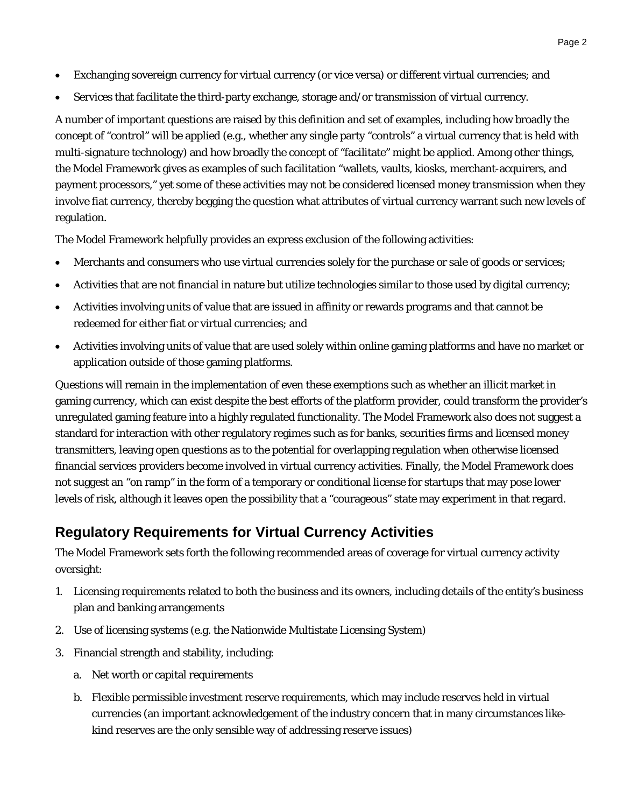- Exchanging sovereign currency for virtual currency (or vice versa) or different virtual currencies; and
- Services that facilitate the third-party exchange, storage and/or transmission of virtual currency.

A number of important questions are raised by this definition and set of examples, including how broadly the concept of "control" will be applied (e.g., whether any single party "controls" a virtual currency that is held with multi-signature technology) and how broadly the concept of "facilitate" might be applied. Among other things, the Model Framework gives as examples of such facilitation "wallets, vaults, kiosks, merchant-acquirers, and payment processors," yet some of these activities may not be considered licensed money transmission when they involve fiat currency, thereby begging the question what attributes of virtual currency warrant such new levels of regulation.

The Model Framework helpfully provides an express exclusion of the following activities:

- Merchants and consumers who use virtual currencies solely for the purchase or sale of goods or services;
- Activities that are not financial in nature but utilize technologies similar to those used by digital currency;
- Activities involving units of value that are issued in affinity or rewards programs and that cannot be redeemed for either fiat or virtual currencies; and
- Activities involving units of value that are used solely within online gaming platforms and have no market or application outside of those gaming platforms.

Questions will remain in the implementation of even these exemptions such as whether an illicit market in gaming currency, which can exist despite the best efforts of the platform provider, could transform the provider's unregulated gaming feature into a highly regulated functionality. The Model Framework also does not suggest a standard for interaction with other regulatory regimes such as for banks, securities firms and licensed money transmitters, leaving open questions as to the potential for overlapping regulation when otherwise licensed financial services providers become involved in virtual currency activities. Finally, the Model Framework does not suggest an "on ramp" in the form of a temporary or conditional license for startups that may pose lower levels of risk, although it leaves open the possibility that a "courageous" state may experiment in that regard.

### **Regulatory Requirements for Virtual Currency Activities**

The Model Framework sets forth the following recommended areas of coverage for virtual currency activity oversight:

- 1. Licensing requirements related to both the business and its owners, including details of the entity's business plan and banking arrangements
- 2. Use of licensing systems (e.g. the Nationwide Multistate Licensing System)
- 3. Financial strength and stability, including:
	- a. Net worth or capital requirements
	- b. Flexible permissible investment reserve requirements, which may include reserves held in virtual currencies (an important acknowledgement of the industry concern that in many circumstances likekind reserves are the only sensible way of addressing reserve issues)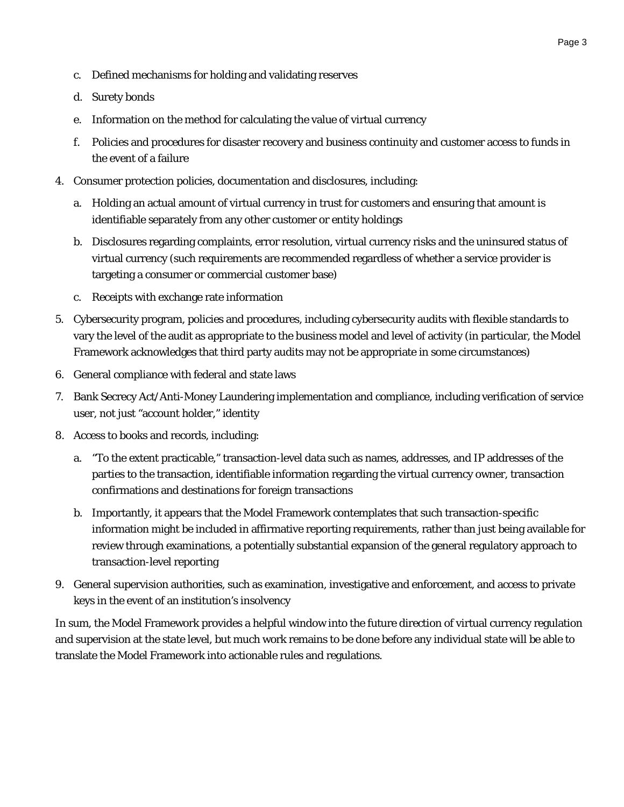- c. Defined mechanisms for holding and validating reserves
- d. Surety bonds
- e. Information on the method for calculating the value of virtual currency
- f. Policies and procedures for disaster recovery and business continuity and customer access to funds in the event of a failure
- 4. Consumer protection policies, documentation and disclosures, including:
	- a. Holding an actual amount of virtual currency in trust for customers and ensuring that amount is identifiable separately from any other customer or entity holdings
	- b. Disclosures regarding complaints, error resolution, virtual currency risks and the uninsured status of virtual currency (such requirements are recommended regardless of whether a service provider is targeting a consumer or commercial customer base)
	- c. Receipts with exchange rate information
- 5. Cybersecurity program, policies and procedures, including cybersecurity audits with flexible standards to vary the level of the audit as appropriate to the business model and level of activity (in particular, the Model Framework acknowledges that third party audits may not be appropriate in some circumstances)
- 6. General compliance with federal and state laws
- 7. Bank Secrecy Act/Anti-Money Laundering implementation and compliance, including verification of service user, not just "account holder," identity
- 8. Access to books and records, including:
	- a. "To the extent practicable," transaction-level data such as names, addresses, and IP addresses of the parties to the transaction, identifiable information regarding the virtual currency owner, transaction confirmations and destinations for foreign transactions
	- b. Importantly, it appears that the Model Framework contemplates that such transaction-specific information might be included in affirmative reporting requirements, rather than just being available for review through examinations, a potentially substantial expansion of the general regulatory approach to transaction-level reporting
- 9. General supervision authorities, such as examination, investigative and enforcement, and access to private keys in the event of an institution's insolvency

In sum, the Model Framework provides a helpful window into the future direction of virtual currency regulation and supervision at the state level, but much work remains to be done before any individual state will be able to translate the Model Framework into actionable rules and regulations.